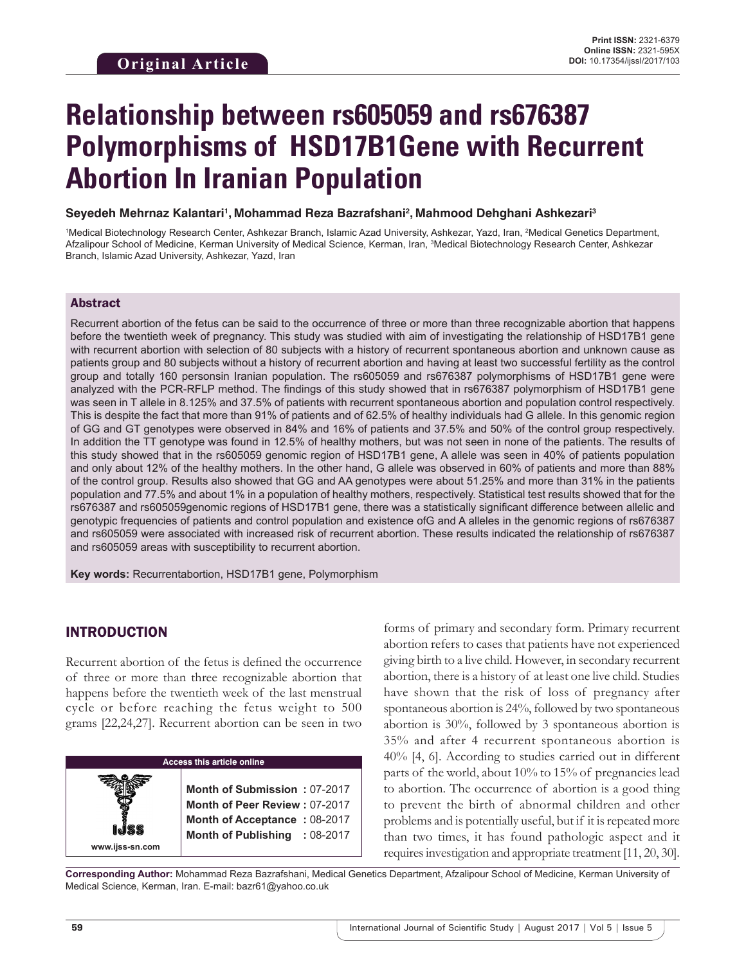# **Relationship between rs605059 and rs676387 Polymorphisms of HSD17B1Gene with Recurrent Abortion In Iranian Population**

#### **Seyedeh Mehrnaz Kalantari1 , Mohammad Reza Bazrafshani2 , Mahmood Dehghani Ashkezari3**

<sup>1</sup>Medical Biotechnology Research Center, Ashkezar Branch, Islamic Azad University, Ashkezar, Yazd, Iran, <sup>2</sup>Medical Genetics Department, Afzalipour School of Medicine, Kerman University of Medical Science, Kerman, Iran, <sup>3</sup>Medical Biotechnology Research Center, Ashkezar Branch, Islamic Azad University, Ashkezar, Yazd, Iran

### Abstract

Recurrent abortion of the fetus can be said to the occurrence of three or more than three recognizable abortion that happens before the twentieth week of pregnancy. This study was studied with aim of investigating the relationship of HSD17B1 gene with recurrent abortion with selection of 80 subjects with a history of recurrent spontaneous abortion and unknown cause as patients group and 80 subjects without a history of recurrent abortion and having at least two successful fertility as the control group and totally 160 personsin Iranian population. The rs605059 and rs676387 polymorphisms of HSD17B1 gene were analyzed with the PCR-RFLP method. The findings of this study showed that in rs676387 polymorphism of HSD17B1 gene was seen in T allele in 8.125% and 37.5% of patients with recurrent spontaneous abortion and population control respectively. This is despite the fact that more than 91% of patients and of 62.5% of healthy individuals had G allele. In this genomic region of GG and GT genotypes were observed in 84% and 16% of patients and 37.5% and 50% of the control group respectively. In addition the TT genotype was found in 12.5% of healthy mothers, but was not seen in none of the patients. The results of this study showed that in the rs605059 genomic region of HSD17B1 gene, A allele was seen in 40% of patients population and only about 12% of the healthy mothers. In the other hand, G allele was observed in 60% of patients and more than 88% of the control group. Results also showed that GG and AA genotypes were about 51.25% and more than 31% in the patients population and 77.5% and about 1% in a population of healthy mothers, respectively. Statistical test results showed that for the rs676387 and rs605059genomic regions of HSD17B1 gene, there was a statistically significant difference between allelic and genotypic frequencies of patients and control population and existence ofG and A alleles in the genomic regions of rs676387 and rs605059 were associated with increased risk of recurrent abortion. These results indicated the relationship of rs676387 and rs605059 areas with susceptibility to recurrent abortion.

**Key words:** Recurrentabortion, HSD17B1 gene, Polymorphism

# INTRODUCTION

Recurrent abortion of the fetus is defined the occurrence of three or more than three recognizable abortion that happens before the twentieth week of the last menstrual cycle or before reaching the fetus weight to 500 grams [22,24,27]. Recurrent abortion can be seen in two

# **Access this article online www.ijss-sn.com Month of Submission :** 07-2017 **Month of Peer Review :** 07-2017 **Month of Acceptance :** 08-2017 **Month of Publishing :** 08-2017

forms of primary and secondary form. Primary recurrent abortion refers to cases that patients have not experienced giving birth to a live child. However, in secondary recurrent abortion, there is a history of at least one live child. Studies have shown that the risk of loss of pregnancy after spontaneous abortion is 24%, followed by two spontaneous abortion is 30%, followed by 3 spontaneous abortion is 35% and after 4 recurrent spontaneous abortion is 40% [4, 6]. According to studies carried out in different parts of the world, about 10% to 15% of pregnancies lead to abortion. The occurrence of abortion is a good thing to prevent the birth of abnormal children and other problems and is potentially useful, but if it is repeated more than two times, it has found pathologic aspect and it requires investigation and appropriate treatment [11, 20, 30].

**Corresponding Author:** Mohammad Reza Bazrafshani, Medical Genetics Department, Afzalipour School of Medicine, Kerman University of Medical Science, Kerman, Iran. E-mail: bazr61@yahoo.co.uk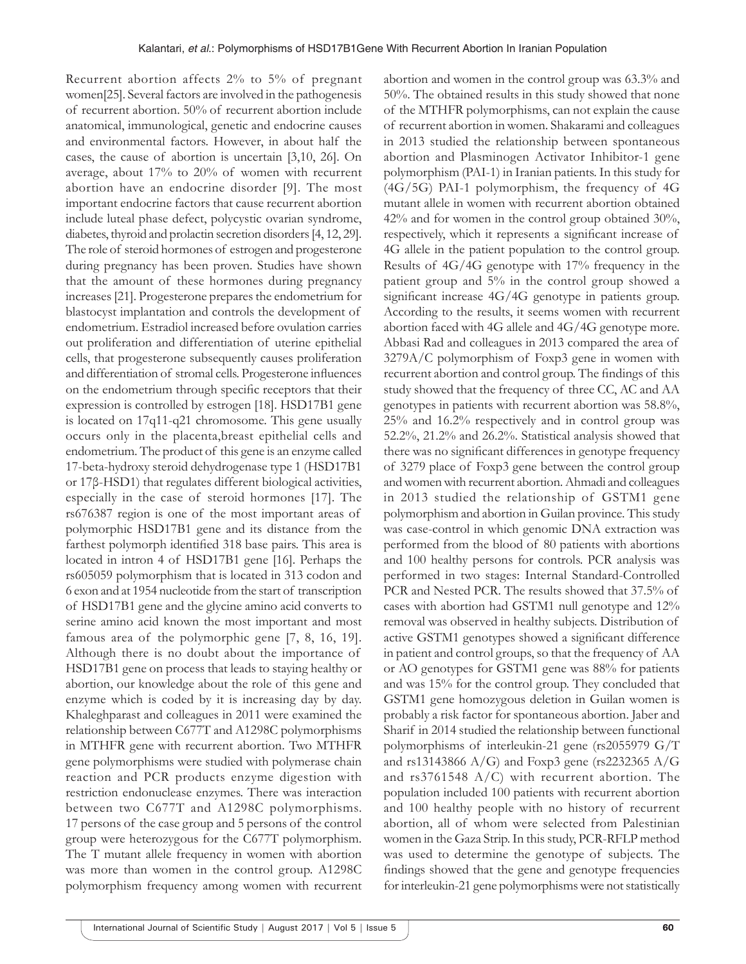Recurrent abortion affects 2% to 5% of pregnant women[25]. Several factors are involved in the pathogenesis of recurrent abortion. 50% of recurrent abortion include anatomical, immunological, genetic and endocrine causes and environmental factors. However, in about half the cases, the cause of abortion is uncertain [3,10, 26]. On average, about 17% to 20% of women with recurrent abortion have an endocrine disorder [9]. The most important endocrine factors that cause recurrent abortion include luteal phase defect, polycystic ovarian syndrome, diabetes, thyroid and prolactin secretion disorders [4, 12, 29]. The role of steroid hormones of estrogen and progesterone during pregnancy has been proven. Studies have shown that the amount of these hormones during pregnancy increases [21]. Progesterone prepares the endometrium for blastocyst implantation and controls the development of endometrium. Estradiol increased before ovulation carries out proliferation and differentiation of uterine epithelial cells, that progesterone subsequently causes proliferation and differentiation of stromal cells. Progesterone influences on the endometrium through specific receptors that their expression is controlled by estrogen [18]. HSD17B1 gene is located on 17q11-q21 chromosome. This gene usually occurs only in the placenta,breast epithelial cells and endometrium. The product of this gene is an enzyme called 17-beta-hydroxy steroid dehydrogenase type 1 (HSD17B1 or 17β-HSD1) that regulates different biological activities, especially in the case of steroid hormones [17]. The rs676387 region is one of the most important areas of polymorphic HSD17B1 gene and its distance from the farthest polymorph identified 318 base pairs. This area is located in intron 4 of HSD17B1 gene [16]. Perhaps the rs605059 polymorphism that is located in 313 codon and 6 exon and at 1954 nucleotide from the start of transcription of HSD17B1 gene and the glycine amino acid converts to serine amino acid known the most important and most famous area of the polymorphic gene [7, 8, 16, 19]. Although there is no doubt about the importance of HSD17B1 gene on process that leads to staying healthy or abortion, our knowledge about the role of this gene and enzyme which is coded by it is increasing day by day. Khaleghparast and colleagues in 2011 were examined the relationship between C677T and A1298C polymorphisms in MTHFR gene with recurrent abortion. Two MTHFR gene polymorphisms were studied with polymerase chain reaction and PCR products enzyme digestion with restriction endonuclease enzymes. There was interaction between two C677T and A1298C polymorphisms. 17 persons of the case group and 5 persons of the control group were heterozygous for the C677T polymorphism. The T mutant allele frequency in women with abortion was more than women in the control group. A1298C polymorphism frequency among women with recurrent

abortion and women in the control group was 63.3% and 50%. The obtained results in this study showed that none of the MTHFR polymorphisms, can not explain the cause of recurrent abortion in women. Shakarami and colleagues in 2013 studied the relationship between spontaneous abortion and Plasminogen Activator Inhibitor-1 gene polymorphism (PAI-1) in Iranian patients. In this study for (4G/5G) PAI-1 polymorphism, the frequency of 4G mutant allele in women with recurrent abortion obtained 42% and for women in the control group obtained 30%, respectively, which it represents a significant increase of 4G allele in the patient population to the control group. Results of 4G/4G genotype with 17% frequency in the patient group and 5% in the control group showed a significant increase 4G/4G genotype in patients group. According to the results, it seems women with recurrent abortion faced with 4G allele and 4G/4G genotype more. Abbasi Rad and colleagues in 2013 compared the area of 3279A/C polymorphism of Foxp3 gene in women with recurrent abortion and control group. The findings of this study showed that the frequency of three CC, AC and AA genotypes in patients with recurrent abortion was 58.8%, 25% and 16.2% respectively and in control group was 52.2%, 21.2% and 26.2%. Statistical analysis showed that there was no significant differences in genotype frequency of 3279 place of Foxp3 gene between the control group and women with recurrent abortion. Ahmadi and colleagues in 2013 studied the relationship of GSTM1 gene polymorphism and abortion in Guilan province. This study was case-control in which genomic DNA extraction was performed from the blood of 80 patients with abortions and 100 healthy persons for controls. PCR analysis was performed in two stages: Internal Standard-Controlled PCR and Nested PCR. The results showed that 37.5% of cases with abortion had GSTM1 null genotype and 12% removal was observed in healthy subjects. Distribution of active GSTM1 genotypes showed a significant difference in patient and control groups, so that the frequency of AA or AO genotypes for GSTM1 gene was 88% for patients and was 15% for the control group. They concluded that GSTM1 gene homozygous deletion in Guilan women is probably a risk factor for spontaneous abortion. Jaber and Sharif in 2014 studied the relationship between functional polymorphisms of interleukin-21 gene (rs2055979 G/T and rs13143866 A/G) and Foxp3 gene (rs2232365 A/G and rs3761548 A/C) with recurrent abortion. The population included 100 patients with recurrent abortion and 100 healthy people with no history of recurrent abortion, all of whom were selected from Palestinian women in the Gaza Strip. In this study, PCR-RFLP method was used to determine the genotype of subjects. The findings showed that the gene and genotype frequencies for interleukin-21 gene polymorphisms were not statistically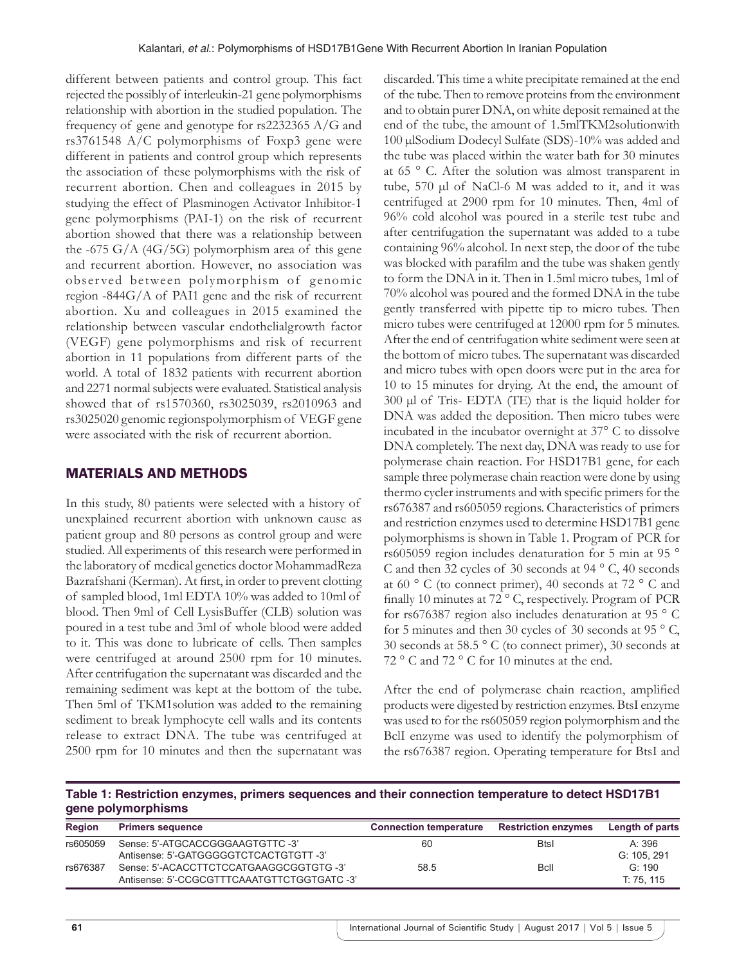different between patients and control group. This fact rejected the possibly of interleukin-21 gene polymorphisms relationship with abortion in the studied population. The frequency of gene and genotype for rs2232365 A/G and rs3761548 A/C polymorphisms of Foxp3 gene were different in patients and control group which represents the association of these polymorphisms with the risk of recurrent abortion. Chen and colleagues in 2015 by studying the effect of Plasminogen Activator Inhibitor-1 gene polymorphisms (PAI-1) on the risk of recurrent abortion showed that there was a relationship between the -675 G/A  $(4G/5G)$  polymorphism area of this gene and recurrent abortion. However, no association was obser ved between polymorphism of genomic region -844G/A of PAI1 gene and the risk of recurrent abortion. Xu and colleagues in 2015 examined the relationship between vascular endothelialgrowth factor (VEGF) gene polymorphisms and risk of recurrent abortion in 11 populations from different parts of the world. A total of 1832 patients with recurrent abortion and 2271 normal subjects were evaluated. Statistical analysis showed that of rs1570360, rs3025039, rs2010963 and rs3025020 genomic regionspolymorphism of VEGF gene were associated with the risk of recurrent abortion.

# MATERIALS AND METHODS

In this study, 80 patients were selected with a history of unexplained recurrent abortion with unknown cause as patient group and 80 persons as control group and were studied. All experiments of this research were performed in the laboratory of medical genetics doctor MohammadReza Bazrafshani (Kerman). At first, in order to prevent clotting of sampled blood, 1ml EDTA 10% was added to 10ml of blood. Then 9ml of Cell LysisBuffer (CLB) solution was poured in a test tube and 3ml of whole blood were added to it. This was done to lubricate of cells. Then samples were centrifuged at around 2500 rpm for 10 minutes. After centrifugation the supernatant was discarded and the remaining sediment was kept at the bottom of the tube. Then 5ml of TKM1solution was added to the remaining sediment to break lymphocyte cell walls and its contents release to extract DNA. The tube was centrifuged at 2500 rpm for 10 minutes and then the supernatant was discarded. This time a white precipitate remained at the end of the tube. Then to remove proteins from the environment and to obtain purer DNA, on white deposit remained at the end of the tube, the amount of 1.5mlTKM2solutionwith 100 µlSodium Dodecyl Sulfate (SDS)-10% was added and the tube was placed within the water bath for 30 minutes at 65 ° C. After the solution was almost transparent in tube, 570 µl of NaCl-6 M was added to it, and it was centrifuged at 2900 rpm for 10 minutes. Then, 4ml of 96% cold alcohol was poured in a sterile test tube and after centrifugation the supernatant was added to a tube containing 96% alcohol. In next step, the door of the tube was blocked with parafilm and the tube was shaken gently to form the DNA in it. Then in 1.5ml micro tubes, 1ml of 70% alcohol was poured and the formed DNA in the tube gently transferred with pipette tip to micro tubes. Then micro tubes were centrifuged at 12000 rpm for 5 minutes. After the end of centrifugation white sediment were seen at the bottom of micro tubes. The supernatant was discarded and micro tubes with open doors were put in the area for 10 to 15 minutes for drying. At the end, the amount of 300 µl of Tris- EDTA (TE) that is the liquid holder for DNA was added the deposition. Then micro tubes were incubated in the incubator overnight at 37° C to dissolve DNA completely. The next day, DNA was ready to use for polymerase chain reaction. For HSD17B1 gene, for each sample three polymerase chain reaction were done by using thermo cycler instruments and with specific primers for the rs676387 and rs605059 regions. Characteristics of primers and restriction enzymes used to determine HSD17B1 gene polymorphisms is shown in Table 1. Program of PCR for rs605059 region includes denaturation for 5 min at 95 ° C and then 32 cycles of 30 seconds at 94 ° C, 40 seconds at 60 $\degree$  C (to connect primer), 40 seconds at 72 $\degree$  C and finally 10 minutes at 72 ° C, respectively. Program of PCR for rs676387 region also includes denaturation at 95 ° C for 5 minutes and then 30 cycles of 30 seconds at 95  $\degree$  C, 30 seconds at 58.5 ° C (to connect primer), 30 seconds at 72 ° C and 72 ° C for 10 minutes at the end.

After the end of polymerase chain reaction, amplified products were digested by restriction enzymes. BtsI enzyme was used to for the rs605059 region polymorphism and the BclI enzyme was used to identify the polymorphism of the rs676387 region. Operating temperature for BtsI and

**Table 1: Restriction enzymes, primers sequences and their connection temperature to detect HSD17B1 gene polymorphisms**

| <b>Region</b> | <b>Primers sequence</b>                     | <b>Connection temperature</b> | <b>Restriction enzymes</b> | Length of parts |
|---------------|---------------------------------------------|-------------------------------|----------------------------|-----------------|
| rs605059      | Sense: 5'-ATGCACCGGGAAGTGTTC -3'            | 60                            | <b>Btsl</b>                | A: 396          |
|               | Antisense: 5'-GATGGGGGTCTCACTGTGTT-3'       |                               |                            | G: 105, 291     |
| rs676387      | Sense: 5'-ACACCTTCTCCATGAAGGCGGTGTG -3'     | 58.5                          | <b>B</b> cll               | G: 190          |
|               | Antisense: 5'-CCGCGTTTCAAATGTTCTGGTGATC -3' |                               |                            | T: 75, 115      |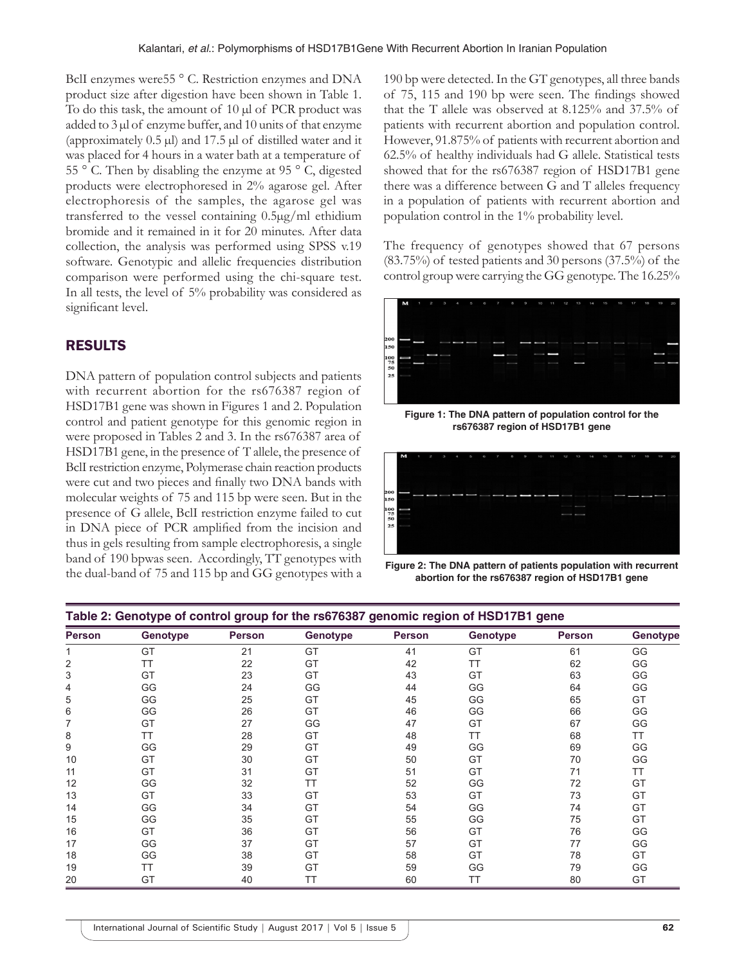BclI enzymes were55 ° C. Restriction enzymes and DNA product size after digestion have been shown in Table 1. To do this task, the amount of 10 µl of PCR product was added to  $3 \mu$  of enzyme buffer, and  $10 \text{ units of that enzyme}$ (approximately  $0.5 \mu$ l) and  $17.5 \mu$ l of distilled water and it was placed for 4 hours in a water bath at a temperature of 55 ° C. Then by disabling the enzyme at 95 ° C, digested products were electrophoresed in 2% agarose gel. After electrophoresis of the samples, the agarose gel was transferred to the vessel containing 0.5µg/ml ethidium bromide and it remained in it for 20 minutes. After data collection, the analysis was performed using SPSS v.19 software. Genotypic and allelic frequencies distribution comparison were performed using the chi-square test. In all tests, the level of 5% probability was considered as significant level.

# RESULTS

DNA pattern of population control subjects and patients with recurrent abortion for the rs676387 region of HSD17B1 gene was shown in Figures 1 and 2. Population control and patient genotype for this genomic region in were proposed in Tables 2 and 3. In the rs676387 area of HSD17B1 gene, in the presence of T allele, the presence of BclI restriction enzyme, Polymerase chain reaction products were cut and two pieces and finally two DNA bands with molecular weights of 75 and 115 bp were seen. But in the presence of G allele, BclI restriction enzyme failed to cut in DNA piece of PCR amplified from the incision and thus in gels resulting from sample electrophoresis, a single band of 190 bpwas seen. Accordingly, TT genotypes with the dual-band of 75 and 115 bp and GG genotypes with a

190 bp were detected. In the GT genotypes, all three bands of 75, 115 and 190 bp were seen. The findings showed that the T allele was observed at 8.125% and 37.5% of patients with recurrent abortion and population control. However, 91.875% of patients with recurrent abortion and 62.5% of healthy individuals had G allele. Statistical tests showed that for the rs676387 region of HSD17B1 gene there was a difference between G and T alleles frequency in a population of patients with recurrent abortion and population control in the 1% probability level.

The frequency of genotypes showed that 67 persons (83.75%) of tested patients and 30 persons (37.5%) of the control group were carrying the GG genotype. The 16.25%



**Figure 1: The DNA pattern of population control for the rs676387 region of HSD17B1 gene**



**Figure 2: The DNA pattern of patients population with recurrent abortion for the rs676387 region of HSD17B1 gene**

| Table 2: Genotype of control group for the rs676387 genomic region of HSD17B1 gene |          |               |           |               |          |               |           |  |
|------------------------------------------------------------------------------------|----------|---------------|-----------|---------------|----------|---------------|-----------|--|
| <b>Person</b>                                                                      | Genotype | <b>Person</b> | Genotype  | <b>Person</b> | Genotype | <b>Person</b> | Genotype  |  |
|                                                                                    | GT       | 21            | GT        | 41            | GT       | 61            | GG        |  |
| 2                                                                                  | ТT       | 22            | GT        | 42            | TT       | 62            | GG        |  |
| 3                                                                                  | GT       | 23            | GT        | 43            | GT       | 63            | GG        |  |
| 4                                                                                  | GG       | 24            | GG        | 44            | GG       | 64            | GG        |  |
| 5                                                                                  | GG       | 25            | GT        | 45            | GG       | 65            | GT        |  |
| 6                                                                                  | GG       | 26            | GT        | 46            | GG       | 66            | GG        |  |
| 7                                                                                  | GT       | 27            | GG        | 47            | GT       | 67            | GG        |  |
| 8                                                                                  | ТT       | 28            | GT        | 48            | TΤ       | 68            | <b>TT</b> |  |
| 9                                                                                  | GG       | 29            | GT        | 49            | GG       | 69            | GG        |  |
| 10                                                                                 | GT       | 30            | GT        | 50            | GT       | 70            | GG        |  |
| 11                                                                                 | GT       | 31            | GT        | 51            | GT       | 71            | ТT        |  |
| 12                                                                                 | GG       | 32            | <b>TT</b> | 52            | GG       | 72            | GT        |  |
| 13                                                                                 | GT       | 33            | GT        | 53            | GT       | 73            | GT        |  |
| 14                                                                                 | GG       | 34            | GT        | 54            | GG       | 74            | GT        |  |
| 15                                                                                 | GG       | 35            | GT        | 55            | GG       | 75            | GT        |  |
| 16                                                                                 | GT       | 36            | GT        | 56            | GT       | 76            | GG        |  |
| 17                                                                                 | GG       | 37            | GT        | 57            | GT       | 77            | GG        |  |
| 18                                                                                 | GG       | 38            | GT        | 58            | GT       | 78            | GT        |  |
| 19                                                                                 | TT       | 39            | GT        | 59            | GG       | 79            | GG        |  |
| 20                                                                                 | GT       | 40            | <b>TT</b> | 60            | ТT       | 80            | GT        |  |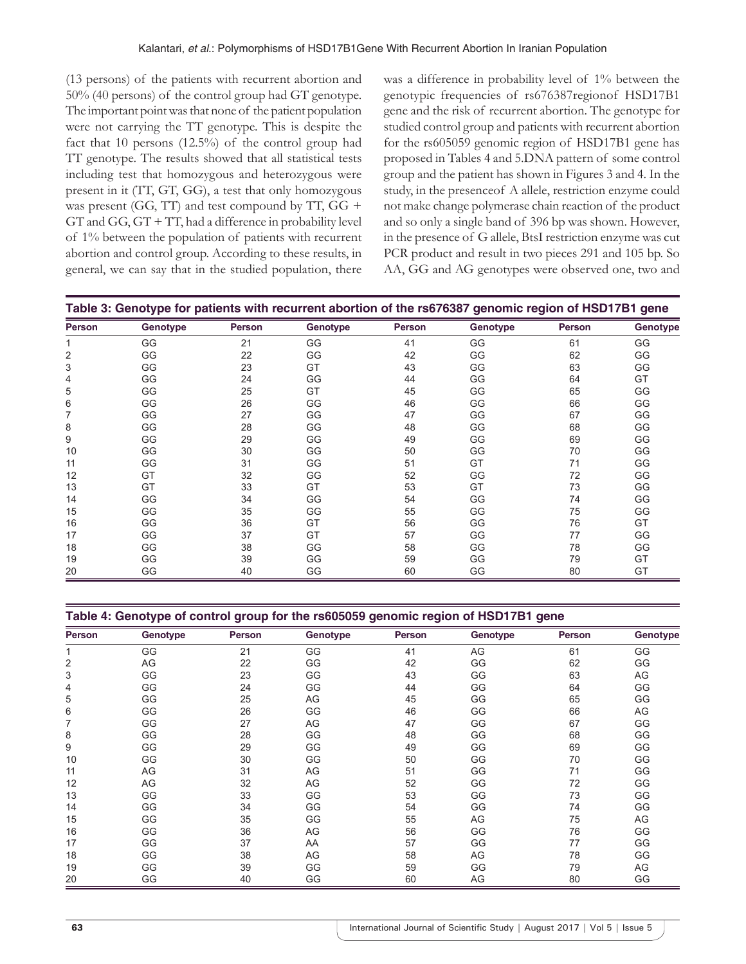(13 persons) of the patients with recurrent abortion and 50% (40 persons) of the control group had GT genotype. The important point was that none of the patient population were not carrying the TT genotype. This is despite the fact that 10 persons (12.5%) of the control group had TT genotype. The results showed that all statistical tests including test that homozygous and heterozygous were present in it (TT, GT, GG), a test that only homozygous was present (GG, TT) and test compound by TT, GG +  $GT$  and  $GG$ ,  $GT + TT$ , had a difference in probability level of 1% between the population of patients with recurrent abortion and control group. According to these results, in general, we can say that in the studied population, there was a difference in probability level of 1% between the genotypic frequencies of rs676387regionof HSD17B1 gene and the risk of recurrent abortion. The genotype for studied control group and patients with recurrent abortion for the rs605059 genomic region of HSD17B1 gene has proposed in Tables 4 and 5.DNA pattern of some control group and the patient has shown in Figures 3 and 4. In the study, in the presenceof A allele, restriction enzyme could not make change polymerase chain reaction of the product and so only a single band of 396 bp was shown. However, in the presence of G allele, BtsI restriction enzyme was cut PCR product and result in two pieces 291 and 105 bp. So AA, GG and AG genotypes were observed one, two and

| Table 3: Genotype for patients with recurrent abortion of the rs676387 genomic region of HSD17B1 gene |          |        |          |        |          |               |          |  |
|-------------------------------------------------------------------------------------------------------|----------|--------|----------|--------|----------|---------------|----------|--|
| <b>Person</b>                                                                                         | Genotype | Person | Genotype | Person | Genotype | <b>Person</b> | Genotype |  |
|                                                                                                       | GG       | 21     | GG       | 41     | GG       | 61            | GG       |  |
| 2                                                                                                     | GG       | 22     | GG       | 42     | GG       | 62            | GG       |  |
| 3                                                                                                     | GG       | 23     | GT       | 43     | GG       | 63            | GG       |  |
| 4                                                                                                     | GG       | 24     | GG       | 44     | GG       | 64            | GT       |  |
| 5                                                                                                     | GG       | 25     | GT       | 45     | GG       | 65            | GG       |  |
| 6                                                                                                     | GG       | 26     | GG       | 46     | GG       | 66            | GG       |  |
|                                                                                                       | GG       | 27     | GG       | 47     | GG       | 67            | GG       |  |
| 8                                                                                                     | GG       | 28     | GG       | 48     | GG       | 68            | GG       |  |
| 9                                                                                                     | GG       | 29     | GG       | 49     | GG       | 69            | GG       |  |
| 10                                                                                                    | GG       | 30     | GG       | 50     | GG       | 70            | GG       |  |
| 11                                                                                                    | GG       | 31     | GG       | 51     | GT       | 71            | GG       |  |
| 12                                                                                                    | GT       | 32     | GG       | 52     | GG       | 72            | GG       |  |
| 13                                                                                                    | GT       | 33     | GT       | 53     | GT       | 73            | GG       |  |
| 14                                                                                                    | GG       | 34     | GG       | 54     | GG       | 74            | GG       |  |
| 15                                                                                                    | GG       | 35     | GG       | 55     | GG       | 75            | GG       |  |
| 16                                                                                                    | GG       | 36     | GT       | 56     | GG       | 76            | GT       |  |
| 17                                                                                                    | GG       | 37     | GT       | 57     | GG       | 77            | GG       |  |
| 18                                                                                                    | GG       | 38     | GG       | 58     | GG       | 78            | GG       |  |
| 19                                                                                                    | GG       | 39     | GG       | 59     | GG       | 79            | GT       |  |
| 20                                                                                                    | GG       | 40     | GG       | 60     | GG       | 80            | GT       |  |

| Table 4: Genotype of control group for the rs605059 genomic region of HSD17B1 gene |          |               |          |        |          |        |          |  |  |
|------------------------------------------------------------------------------------|----------|---------------|----------|--------|----------|--------|----------|--|--|
| <b>Person</b>                                                                      | Genotype | <b>Person</b> | Genotype | Person | Genotype | Person | Genotype |  |  |
|                                                                                    | $\cap$   |               |          |        |          |        |          |  |  |

|    | GG | 21 | GG | 41 | AG | 61 | GG |
|----|----|----|----|----|----|----|----|
| 2  | AG | 22 | GG | 42 | GG | 62 | GG |
| 3  | GG | 23 | GG | 43 | GG | 63 | AG |
| 4  | GG | 24 | GG | 44 | GG | 64 | GG |
| 5  | GG | 25 | AG | 45 | GG | 65 | GG |
| 6  | GG | 26 | GG | 46 | GG | 66 | AG |
| 7  | GG | 27 | AG | 47 | GG | 67 | GG |
| 8  | GG | 28 | GG | 48 | GG | 68 | GG |
| 9  | GG | 29 | GG | 49 | GG | 69 | GG |
| 10 | GG | 30 | GG | 50 | GG | 70 | GG |
| 11 | AG | 31 | AG | 51 | GG | 71 | GG |
| 12 | AG | 32 | AG | 52 | GG | 72 | GG |
| 13 | GG | 33 | GG | 53 | GG | 73 | GG |
| 14 | GG | 34 | GG | 54 | GG | 74 | GG |
| 15 | GG | 35 | GG | 55 | AG | 75 | AG |
| 16 | GG | 36 | AG | 56 | GG | 76 | GG |
| 17 | GG | 37 | AA | 57 | GG | 77 | GG |
| 18 | GG | 38 | AG | 58 | AG | 78 | GG |
| 19 | GG | 39 | GG | 59 | GG | 79 | AG |
| 20 | GG | 40 | GG | 60 | AG | 80 | GG |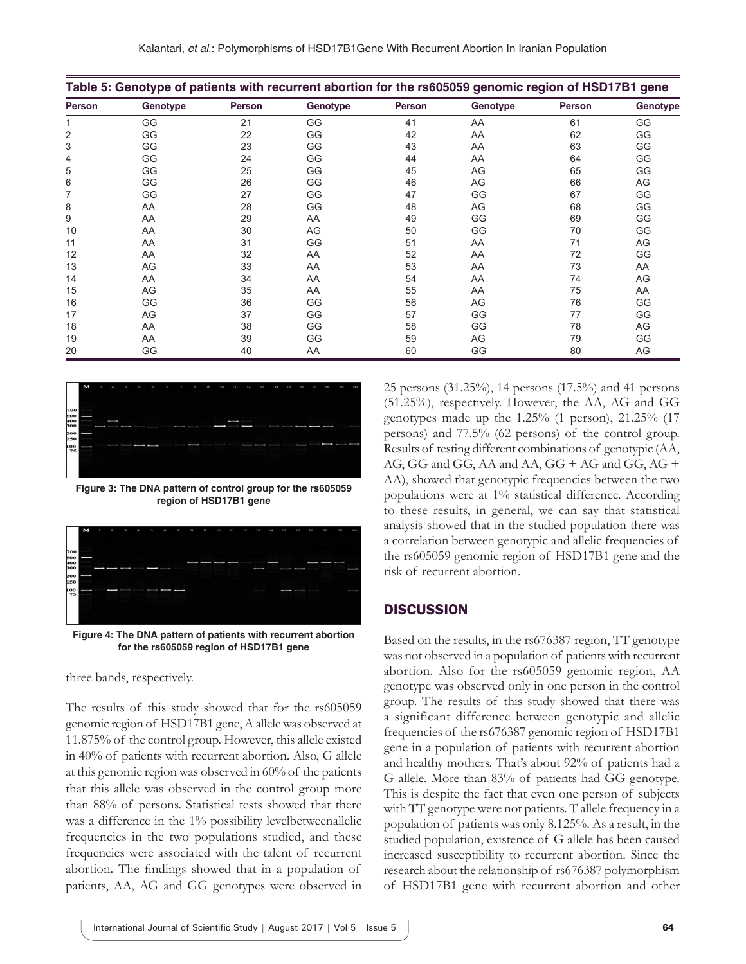| Table 5: Genotype of patients with recurrent abortion for the rs605059 genomic region of HSD17B1 gene |          |        |          |               |          |        |          |  |
|-------------------------------------------------------------------------------------------------------|----------|--------|----------|---------------|----------|--------|----------|--|
| <b>Person</b>                                                                                         | Genotype | Person | Genotype | <b>Person</b> | Genotype | Person | Genotype |  |
|                                                                                                       | GG       | 21     | GG       | 41            | AA       | 61     | GG       |  |
| 2                                                                                                     | GG       | 22     | GG       | 42            | AA       | 62     | GG       |  |
| 3                                                                                                     | GG       | 23     | GG       | 43            | AA       | 63     | GG       |  |
| 4                                                                                                     | GG       | 24     | GG       | 44            | AA       | 64     | GG       |  |
| 5                                                                                                     | GG       | 25     | GG       | 45            | AG       | 65     | GG       |  |
| 6                                                                                                     | GG       | 26     | GG       | 46            | AG       | 66     | AG       |  |
| 7                                                                                                     | GG       | 27     | GG       | 47            | GG       | 67     | GG       |  |
| 8                                                                                                     | AA       | 28     | GG       | 48            | AG       | 68     | GG       |  |
| 9                                                                                                     | AA       | 29     | AA       | 49            | GG       | 69     | GG       |  |
| 10                                                                                                    | AA       | 30     | AG       | 50            | GG       | 70     | GG       |  |
| 11                                                                                                    | AA       | 31     | GG       | 51            | AA       | 71     | AG       |  |
| 12                                                                                                    | AA       | 32     | AA       | 52            | AA       | 72     | GG       |  |
| 13                                                                                                    | AG       | 33     | AA       | 53            | AA       | 73     | AA       |  |
| 14                                                                                                    | AA       | 34     | AA       | 54            | AA       | 74     | AG       |  |
| 15                                                                                                    | AG       | 35     | AA       | 55            | AA       | 75     | AA       |  |
| 16                                                                                                    | GG       | 36     | GG       | 56            | AG       | 76     | GG       |  |
| 17                                                                                                    | AG       | 37     | GG       | 57            | GG       | 77     | GG       |  |
| 18                                                                                                    | AA       | 38     | GG       | 58            | GG       | 78     | AG       |  |
| 19                                                                                                    | AA       | 39     | GG       | 59            | AG       | 79     | GG       |  |
| 20                                                                                                    | GG       | 40     | AA       | 60            | GG       | 80     | AG       |  |



**Figure 3: The DNA pattern of control group for the rs605059 region of HSD17B1 gene**



**Figure 4: The DNA pattern of patients with recurrent abortion for the rs605059 region of HSD17B1 gene**

three bands, respectively.

The results of this study showed that for the rs605059 genomic region of HSD17B1 gene, A allele was observed at 11.875% of the control group. However, this allele existed in 40% of patients with recurrent abortion. Also, G allele at this genomic region was observed in 60% of the patients that this allele was observed in the control group more than 88% of persons. Statistical tests showed that there was a difference in the 1% possibility levelbetweenallelic frequencies in the two populations studied, and these frequencies were associated with the talent of recurrent abortion. The findings showed that in a population of patients, AA, AG and GG genotypes were observed in

25 persons (31.25%), 14 persons (17.5%) and 41 persons (51.25%), respectively. However, the AA, AG and GG genotypes made up the 1.25% (1 person), 21.25% (17 persons) and 77.5% (62 persons) of the control group. Results of testing different combinations of genotypic (AA, AG, GG and GG, AA and AA, GG + AG and GG, AG + AA), showed that genotypic frequencies between the two populations were at 1% statistical difference. According to these results, in general, we can say that statistical analysis showed that in the studied population there was a correlation between genotypic and allelic frequencies of the rs605059 genomic region of HSD17B1 gene and the risk of recurrent abortion.

# **DISCUSSION**

Based on the results, in the rs676387 region, TT genotype was not observed in a population of patients with recurrent abortion. Also for the rs605059 genomic region, AA genotype was observed only in one person in the control group. The results of this study showed that there was a significant difference between genotypic and allelic frequencies of the rs676387 genomic region of HSD17B1 gene in a population of patients with recurrent abortion and healthy mothers. That's about 92% of patients had a G allele. More than 83% of patients had GG genotype. This is despite the fact that even one person of subjects with TT genotype were not patients. T allele frequency in a population of patients was only 8.125%. As a result, in the studied population, existence of G allele has been caused increased susceptibility to recurrent abortion. Since the research about the relationship of rs676387 polymorphism of HSD17B1 gene with recurrent abortion and other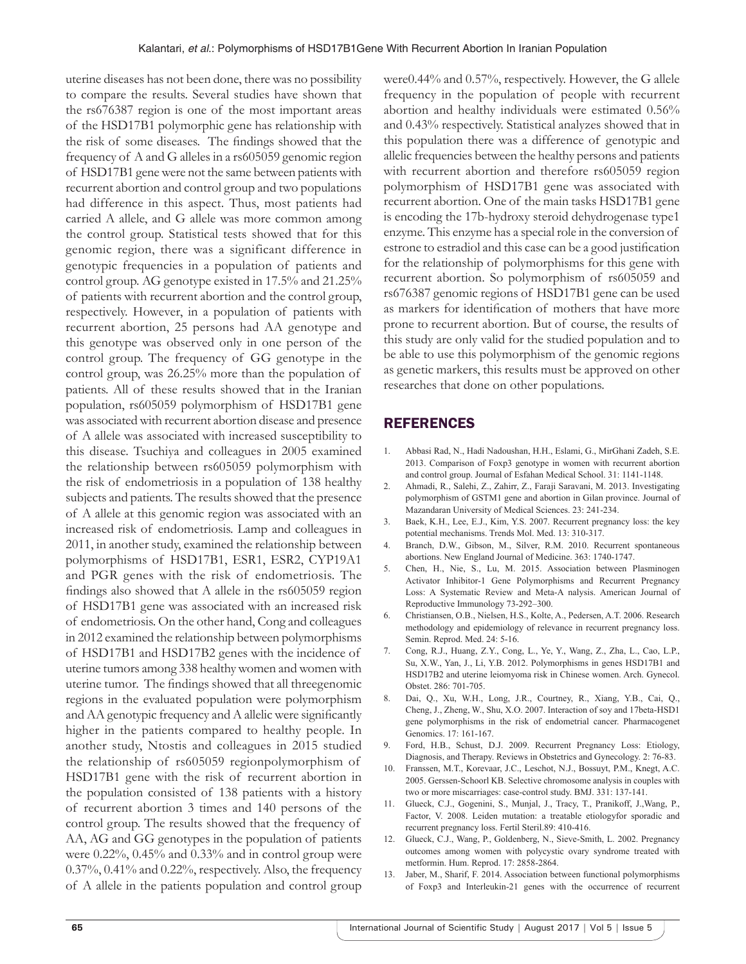uterine diseases has not been done, there was no possibility to compare the results. Several studies have shown that the rs676387 region is one of the most important areas of the HSD17B1 polymorphic gene has relationship with the risk of some diseases. The findings showed that the frequency of A and G alleles in a rs605059 genomic region of HSD17B1 gene were not the same between patients with recurrent abortion and control group and two populations had difference in this aspect. Thus, most patients had carried A allele, and G allele was more common among the control group. Statistical tests showed that for this genomic region, there was a significant difference in genotypic frequencies in a population of patients and control group. AG genotype existed in 17.5% and 21.25% of patients with recurrent abortion and the control group, respectively. However, in a population of patients with recurrent abortion, 25 persons had AA genotype and this genotype was observed only in one person of the control group. The frequency of GG genotype in the control group, was 26.25% more than the population of patients. All of these results showed that in the Iranian population, rs605059 polymorphism of HSD17B1 gene was associated with recurrent abortion disease and presence of A allele was associated with increased susceptibility to this disease. Tsuchiya and colleagues in 2005 examined the relationship between rs605059 polymorphism with the risk of endometriosis in a population of 138 healthy subjects and patients. The results showed that the presence of A allele at this genomic region was associated with an increased risk of endometriosis. Lamp and colleagues in 2011, in another study, examined the relationship between polymorphisms of HSD17B1, ESR1, ESR2, CYP19A1 and PGR genes with the risk of endometriosis. The findings also showed that A allele in the rs605059 region of HSD17B1 gene was associated with an increased risk of endometriosis. On the other hand, Cong and colleagues in 2012 examined the relationship between polymorphisms of HSD17B1 and HSD17B2 genes with the incidence of uterine tumors among 338 healthy women and women with uterine tumor. The findings showed that all threegenomic regions in the evaluated population were polymorphism and AA genotypic frequency and A allelic were significantly higher in the patients compared to healthy people. In another study, Ntostis and colleagues in 2015 studied the relationship of rs605059 regionpolymorphism of HSD17B1 gene with the risk of recurrent abortion in the population consisted of 138 patients with a history of recurrent abortion 3 times and 140 persons of the control group. The results showed that the frequency of AA, AG and GG genotypes in the population of patients were  $0.22\%$ ,  $0.45\%$  and  $0.33\%$  and in control group were 0.37%, 0.41% and 0.22%, respectively. Also, the frequency of A allele in the patients population and control group

were0.44% and 0.57%, respectively. However, the G allele frequency in the population of people with recurrent abortion and healthy individuals were estimated 0.56% and 0.43% respectively. Statistical analyzes showed that in this population there was a difference of genotypic and allelic frequencies between the healthy persons and patients with recurrent abortion and therefore rs605059 region polymorphism of HSD17B1 gene was associated with recurrent abortion. One of the main tasks HSD17B1 gene is encoding the 17b-hydroxy steroid dehydrogenase type1 enzyme. This enzyme has a special role in the conversion of estrone to estradiol and this case can be a good justification for the relationship of polymorphisms for this gene with recurrent abortion. So polymorphism of rs605059 and rs676387 genomic regions of HSD17B1 gene can be used as markers for identification of mothers that have more prone to recurrent abortion. But of course, the results of this study are only valid for the studied population and to be able to use this polymorphism of the genomic regions as genetic markers, this results must be approved on other researches that done on other populations.

## REFERENCES

- 1. Abbasi Rad, N., Hadi Nadoushan, H.H., Eslami, G., MirGhani Zadeh, S.E. 2013. Comparison of Foxp3 genotype in women with recurrent abortion and control group. Journal of Esfahan Medical School. 31: 1141-1148.
- 2. Ahmadi, R., Salehi, Z., Zahirr, Z., Faraji Saravani, M. 2013. Investigating polymorphism of GSTM1 gene and abortion in Gilan province. Journal of Mazandaran University of Medical Sciences. 23: 241-234.
- 3. Baek, K.H., Lee, E.J., Kim, Y.S. 2007. Recurrent pregnancy loss: the key potential mechanisms. Trends Mol. Med. 13: 310-317.
- 4. Branch, D.W., Gibson, M., Silver, R.M. 2010. Recurrent spontaneous abortions. New England Journal of Medicine. 363: 1740-1747.
- 5. Chen, H., Nie, S., Lu, M. 2015. Association between Plasminogen Activator Inhibitor-1 Gene Polymorphisms and Recurrent Pregnancy Loss: A Systematic Review and Meta-A nalysis. American Journal of Reproductive Immunology 73-292–300.
- 6. Christiansen, O.B., Nielsen, H.S., Kolte, A., Pedersen, A.T. 2006. Research methodology and epidemiology of relevance in recurrent pregnancy loss. Semin. Reprod. Med. 24: 5-16.
- 7. Cong, R.J., Huang, Z.Y., Cong, L., Ye, Y., Wang, Z., Zha, L., Cao, L.P., Su, X.W., Yan, J., Li, Y.B. 2012. Polymorphisms in genes HSD17B1 and HSD17B2 and uterine leiomyoma risk in Chinese women. Arch. Gynecol. Obstet. 286: 701-705.
- 8. Dai, Q., Xu, W.H., Long, J.R., Courtney, R., Xiang, Y.B., Cai, Q., Cheng, J., Zheng, W., Shu, X.O. 2007. Interaction of soy and 17beta-HSD1 gene polymorphisms in the risk of endometrial cancer. Pharmacogenet Genomics. 17: 161-167.
- 9. Ford, H.B., Schust, D.J. 2009. Recurrent Pregnancy Loss: Etiology, Diagnosis, and Therapy. Reviews in Obstetrics and Gynecology. 2: 76-83.
- 10. Franssen, M.T., Korevaar, J.C., Leschot, N.J., Bossuyt, P.M., Knegt, A.C. 2005. Gerssen-Schoorl KB. Selective chromosome analysis in couples with two or more miscarriages: case-control study. BMJ. 331: 137-141.
- 11. Glueck, C.J., Gogenini, S., Munjal, J., Tracy, T., Pranikoff, J.,Wang, P., Factor, V. 2008. Leiden mutation: a treatable etiologyfor sporadic and recurrent pregnancy loss. Fertil Steril.89: 410-416.
- 12. Glueck, C.J., Wang, P., Goldenberg, N., Sieve-Smith, L. 2002. Pregnancy outcomes among women with polycystic ovary syndrome treated with metformin. Hum. Reprod. 17: 2858-2864.
- 13. Jaber, M., Sharif, F. 2014. Association between functional polymorphisms of Foxp3 and Interleukin-21 genes with the occurrence of recurrent